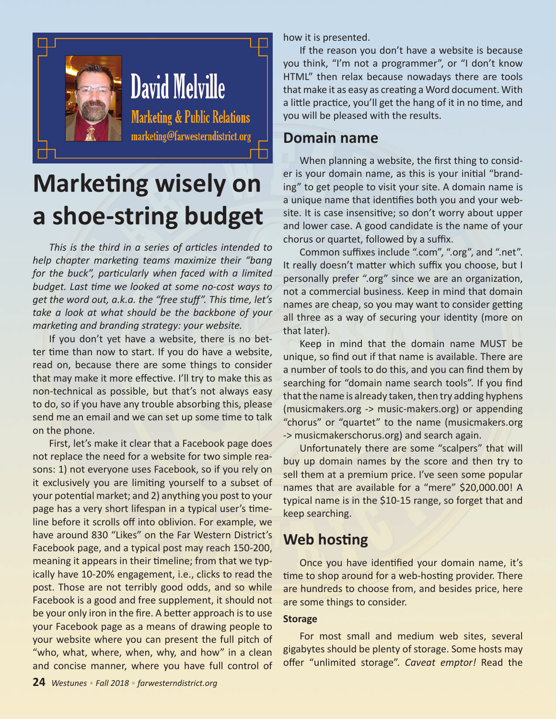

# **Marketing wisely on a shoe-string budget**

*This is the third in a series of articles intended to help chapter marketing teams maximize their "bang for the buck", particularly when faced with a limited budget. Last time we looked at some no-cost ways to get the word out, a.k.a. the "free stuff". This time, let's take a look at what should be the backbone of your marketing and branding strategy: your website.*

If you don't yet have a website, there is no better time than now to start. If you do have a website, read on, because there are some things to consider that may make it more effective. I'll try to make this as non-technical as possible, but that's not always easy to do, so if you have any trouble absorbing this, please send me an email and we can set up some time to talk on the phone.

First, let's make it clear that a Facebook page does not replace the need for a website for two simple reasons: 1) not everyone uses Facebook, so if you rely on it exclusively you are limiting yourself to a subset of your potential market; and 2) anything you post to your page has a very short lifespan in a typical user's timeline before it scrolls off into oblivion. For example, we have around 830 "Likes" on the Far Western District's Facebook page, and a typical post may reach 150-200, meaning it appears in their timeline; from that we typically have 10-20% engagement, i.e., clicks to read the post. Those are not terribly good odds, and so while Facebook is a good and free supplement, it should not be your only iron in the fire. A better approach is to use your Facebook page as a means of drawing people to your website where you can present the full pitch of "who, what, where, when, why, and how" in a clean and concise manner, where you have full control of how it is presented.

If the reason you don't have a website is because you think, "I'm not a programmer", or "I don't know HTML" then relax because nowadays there are tools that make it as easy as creating a Word document. With a little practice, you'll get the hang of it in no time, and you will be pleased with the results.

# **Domain name**

When planning a website, the first thing to consider is your domain name, as this is your initial "branding" to get people to visit your site. A domain name is a unique name that identifies both you and your website. It is case insensitive; so don't worry about upper and lower case. A good candidate is the name of your chorus or quartet, followed by a suffix.

Common suffixes include ".com", ".org", and ".net". It really doesn't matter which suffix you choose, but I personally prefer ".org" since we are an organization, not a commercial business. Keep in mind that domain names are cheap, so you may want to consider getting all three as a way of securing your identity (more on that later).

Keep in mind that the domain name MUST be unique, so find out if that name is available. There are a number of tools to do this, and you can find them by searching for "domain name search tools". If you find that the name is already taken, then try adding hyphens (musicmakers.org -> music-makers.org) or appending "chorus" or "quartet" to the name (musicmakers.org -> musicmakerschorus.org) and search again.

Unfortunately there are some "scalpers" that will buy up domain names by the score and then try to sell them at a premium price. I've seen some popular names that are available for a "mere" \$20,000.00! A typical name is in the \$10-15 range, so forget that and keep searching.

# **Web hosting**

Once you have identified your domain name, it's time to shop around for a web-hosting provider. There are hundreds to choose from, and besides price, here are some things to consider.

### **Storage**

For most small and medium web sites, several gigabytes should be plenty of storage. Some hosts may offer "unlimited storage". *Caveat emptor!* Read the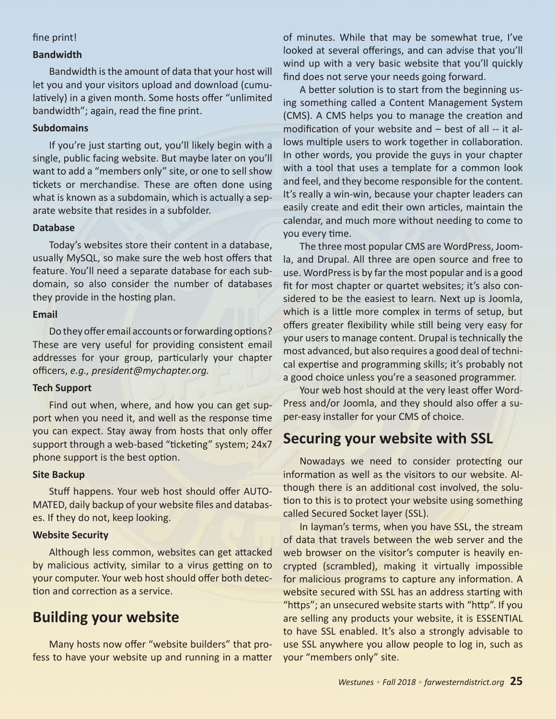#### fine print!

#### **Bandwidth**

Bandwidth is the amount of data that your host will let you and your visitors upload and download (cumulatively) in a given month. Some hosts offer "unlimited bandwidth"; again, read the fine print.

#### **Subdomains**

If you're just starting out, you'll likely begin with a single, public facing website. But maybe later on you'll want to add a "members only" site, or one to sell show tickets or merchandise. These are often done using what is known as a subdomain, which is actually a separate website that resides in a subfolder.

#### **Database**

Today's websites store their content in a database, usually MySQL, so make sure the web host offers that feature. You'll need a separate database for each subdomain, so also consider the number of databases they provide in the hosting plan.

#### **Email**

Do they offer email accounts or forwarding options? These are very useful for providing consistent email addresses for your group, particularly your chapter officers, *e.g., president@mychapter.org.*

#### **Tech Support**

Find out when, where, and how you can get support when you need it, and well as the response time you can expect. Stay away from hosts that only offer support through a web-based "ticketing" system; 24x7 phone support is the best option.

#### **Site Backup**

Stuff happens. Your web host should offer AUTO-MATED, daily backup of your website files and databases. If they do not, keep looking.

#### **Website Security**

Although less common, websites can get attacked by malicious activity, similar to a virus getting on to your computer. Your web host should offer both detection and correction as a service.

# **Building your website**

Many hosts now offer "website builders" that profess to have your website up and running in a matter of minutes. While that may be somewhat true, I've looked at several offerings, and can advise that you'll wind up with a very basic website that you'll quickly find does not serve your needs going forward.

A better solution is to start from the beginning using something called a Content Management System (CMS). A CMS helps you to manage the creation and modification of your website and – best of all -- it allows multiple users to work together in collaboration. In other words, you provide the guys in your chapter with a tool that uses a template for a common look and feel, and they become responsible for the content. It's really a win-win, because your chapter leaders can easily create and edit their own articles, maintain the calendar, and much more without needing to come to you every time.

The three most popular CMS are WordPress, Joomla, and Drupal. All three are open source and free to use. WordPress is by far the most popular and is a good fit for most chapter or quartet websites; it's also considered to be the easiest to learn. Next up is Joomla, which is a little more complex in terms of setup, but offers greater flexibility while still being very easy for your users to manage content. Drupal is technically the most advanced, but also requires a good deal of technical expertise and programming skills; it's probably not a good choice unless you're a seasoned programmer.

Your web host should at the very least offer Word-Press and/or Joomla, and they should also offer a super-easy installer for your CMS of choice.

## **Securing your website with SSL**

Nowadays we need to consider protecting our information as well as the visitors to our website. Although there is an additional cost involved, the solution to this is to protect your website using something called Secured Socket layer (SSL).

In layman's terms, when you have SSL, the stream of data that travels between the web server and the web browser on the visitor's computer is heavily encrypted (scrambled), making it virtually impossible for malicious programs to capture any information. A website secured with SSL has an address starting with "https"; an unsecured website starts with "http". If you are selling any products your website, it is ESSENTIAL to have SSL enabled. It's also a strongly advisable to use SSL anywhere you allow people to log in, such as your "members only" site.